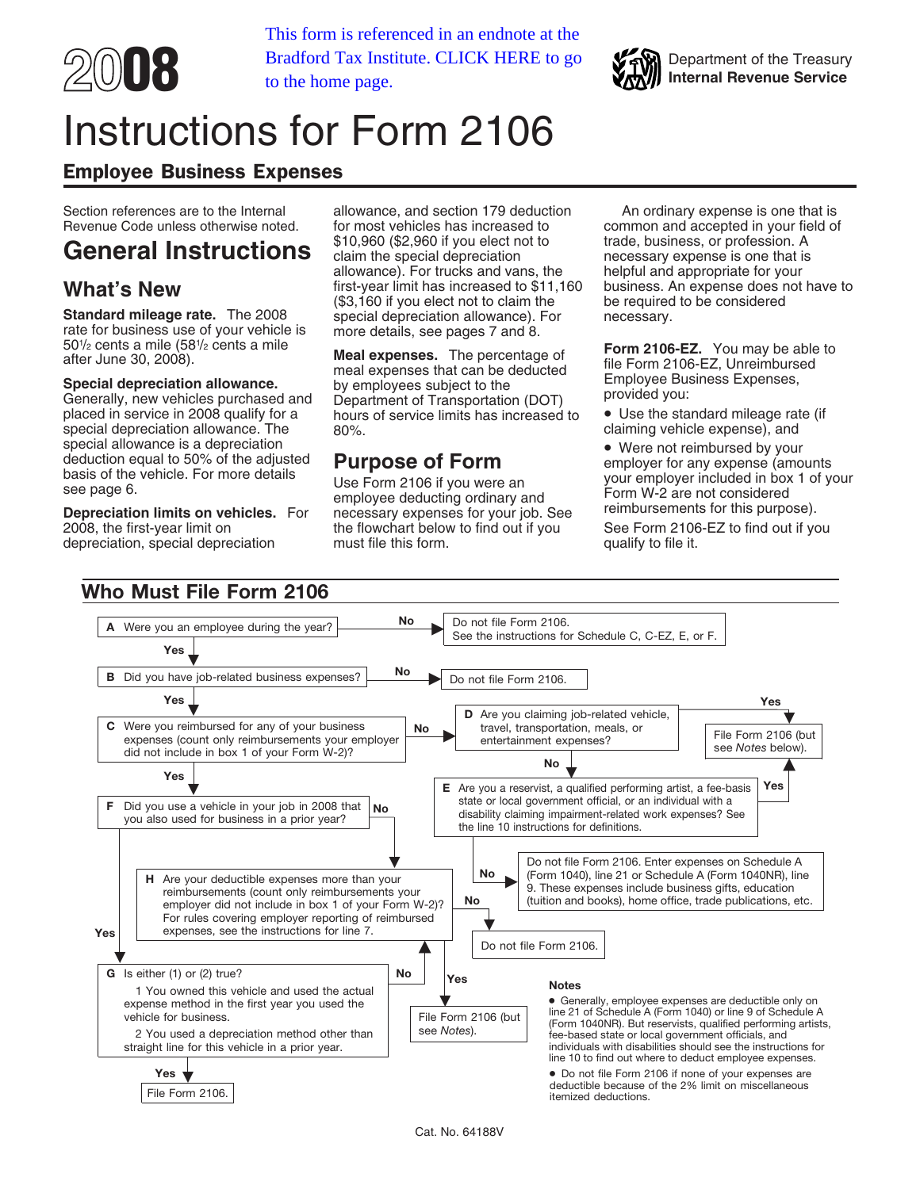

**2008 Internal Revenue Service Internal Revenue Service Internal Revenue Service** This form is referenced in an endnote at the to the home page.



# Instructions for Form 2106

## Employee Business Expenses

501 /2 cents a mile (581

placed in service in 2008 qualify for a hours of service limits has increased to  $\bullet$  Use the standard mileage rate special depreciation allowance. The  $\degree$  80%. special depreciation allowance. The 80%.<br>special allowance is a depreciation

depreciation, special depreciation

Section references are to the Internal allowance, and section 179 deduction An ordinary expense is one that is<br>Revenue Code unless otherwise noted. For most vehicles has increased to common and accepted in your field of for most vehicles has increased to common and accepted in your field of<br>\$10,960 (\$2,960 if you elect not to trade, business, or profession. A General Instructions<br>allowance). For trucks and vans, the helpful and appropriate for your allowance). For trucks and vans, the helpful and appropriate for your<br>first-year limit has increased to \$11,160 business. An expense does not have to **What's New** first-year limit has increased to \$11,160 business. An expense does r<br>(\$3,160 if you elect not to claim the be required to be considered **Standard mileage rate.** The 2008 special depreciation allowance). For necessary.<br>rate for business use of your vehicle is more details, see pages 7 and 8.

Specially, new vehicles purchased and<br>
Senerally, new vehicles purchased and Department of Transportation (DOT) provided you:<br>
placed in service in 2008 qualify for a bours of service limits has increased to **.** Use the st

bepreciation limits on vehicles. For an employee deducting ordinary and the form w-z are not considered<br>**Depreciation limits on vehicles.** For an ecessary expenses for your job. See the find purpose expense and a reimburse 2006, the flowchart below to find out if you See Form 2106-<br>must file this form.

Form 2106-EZ. You may be able to after June 30, 2008).<br>after June 30, 2008).<br>**Special depreciation allowance.** by employees subject to the the meal expenses that can be deducted file Form 2106-EZ, Unreimbursed by employees

special allowance is a depreciation<br>
deduction equal to 50% of the adjusted<br>
basis of the vehicle. For more details<br>
see page 6.<br>
See page 6.<br>
See page 6.<br>
See page 6.<br>
See page 6.<br>
See page 6.<br>
See page 6.<br>
See page 6.<br>
S

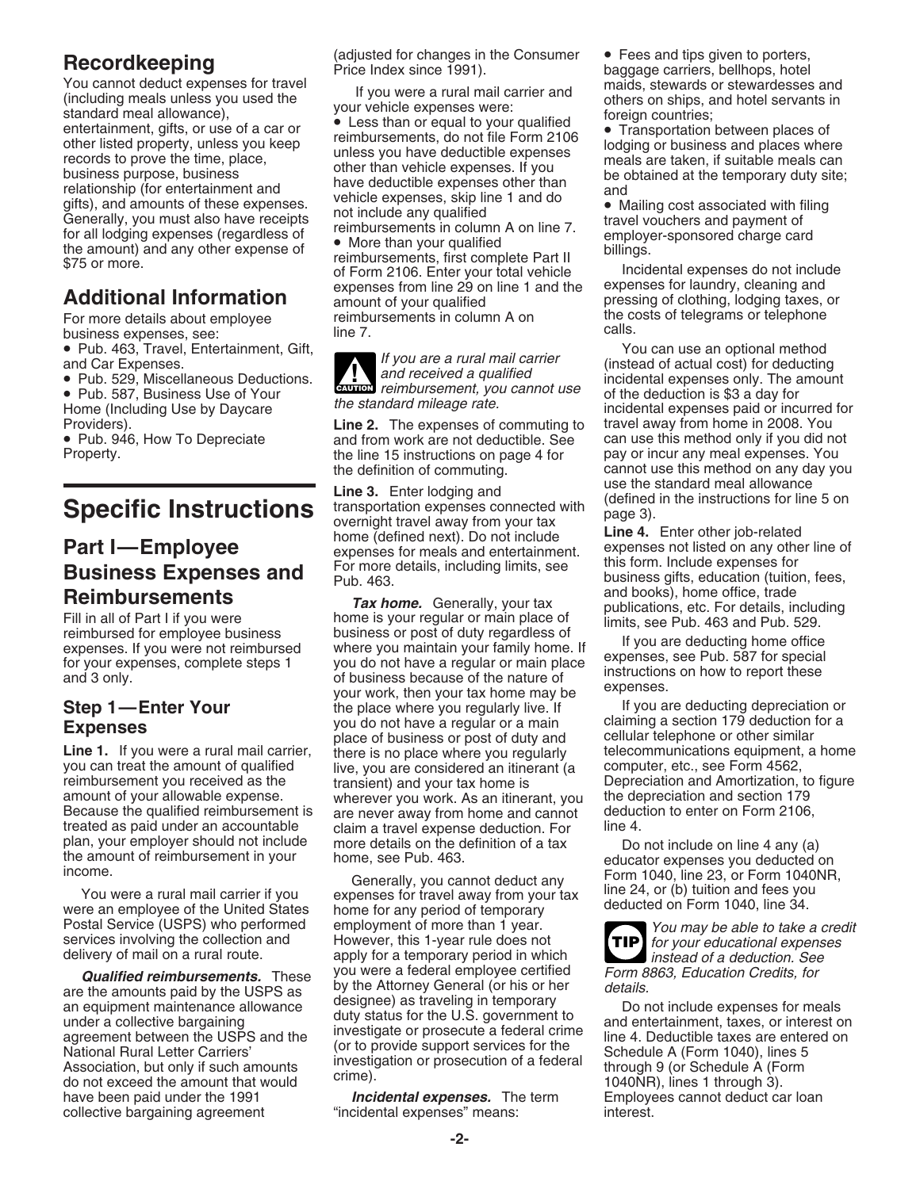You cannot deduct expenses for travel<br>
(including meals unless you used the<br>
if you were a rural mail carrier and<br>
standard meal allowance),<br>
standard meal allowance),<br>
entertainment, gifts, or use of a car or<br>
there inseq

business expenses, see: line 7.<br>● Pub. 463, Travel, Entertainment, Gift, and the 7.

treated as paid under an accountable claim a travel expense deduction. For plan, your employer should not include more details on the definition of a tax

were an employee of the United States home for any period of temporary<br>Postal Service (USPS) who performed employment of more than 1 year.

and the amounts paid by the USPS as<br>an equipment maintenance allowance disciple is traveling in temporary<br>an equipment maintenance allowance disciple and the USPS as<br>an equipment maintenance allowance discusses for meals<br>a have been paid under the 1991 **Incidental expenses.** The term Employees cannot deduct car loan collective bargaining agreement "incidental expenses" means: interest. collective bargaining agreement "incidental expenses" means: interest.

of Form 2106. Enter your total vehicle and the directental expenses do not include<br>expenses from line 29 on line 1 and the expenses for laundry, cleaning and<br>amount of your qualified and pressing of clothing, lodging taxes **Additional Information**<br>For more details about employee preimbursements in column A on For more details about employee reimbursements in column A on the costs of telegrams or telephone<br>business expenses, see:<br> $\frac{1}{2}$  line 7.

Providers).<br>● Pub. 946, How To Depreciate and from work are not deductible. See can use this method only if you did network of Pub. 946, How To Depreciate • Pub. 946, How To Depreciate and from work are not deductible. See can use this method only if you did not Property.<br>Property. The line 15 instructions on page 4 for pay or incur any meal expenses. You the line 15 instructions on page 4 for

Specific Instructions<br>
Expecific last the standard meal allowance<br>
Specific Instructions overnight travel away from your tax<br>
Part I—Employee expenses for meals and entertainment.<br>
Part I—Employee expenses for meals and en

**Reimbursements**<br>
Fill in all of Part I if you were<br>
reimbursed for employee business<br>
to the post of duty regardless of<br>
to your expenses, complete steps 1<br>
to your expenses, complete steps 1<br>
to you do not have a regular expenses.<br> **Step 1—Enter Your** Step is the place where you regularly live. If the place where you regularly live. If the place where you regularly live. If the place where you regularly live. If the place where you do not you do not have a regular or a main claiming a section 179 deduction<br>place of business or post of duty and cellular telephone or other similar<br>**Line 1.** If you were a rural mail carrier, there is no place where you regular you can treat the amount of qualified live, you are considered an itinerant (a computer, etc., see Form 4562,<br>
reimbursement you received as the transient) and your tax home is Depreciation and Amortization, to figure<br>
amo wherever you work. As an itinerant, you the depreciation and section 179<br>are never away from home and cannot deduction to enter on Form 2106, Because the qualified reimbursement is are never away from home and cannot deduction deduction for the 4.

Generally, you cannot deduct any form 1040, line 23, or Form 1040.<br>You were a rural mail carrier if you expenses for travel away from your tax line 24, or (b) tuition and fees you<br>The an employee of the United States home Postal Service (USPS) who performed employment of more than 1 year.<br>Services involving the collection and However, this 1-year rule does not<br>delivery of mail on a rural route. apply for a temporary period in which instead delivery of mail on a rural route. apply for a temporary period in which<br> **Qualified reimbursements.** These you were a federal employee certified Form 8863, Education Credits, for<br>
are the amounts paid by the USPS as by th

Record **keeping** (adjusted for changes in the Consumer • Fees and tips given to porters,<br>Price Index since 1991). baggage carriers, bellhops, hotel<br>maids, stewards or stewardesses and<br>maids, stewards or stewardesses and

• Pub. 463, Travel, Entertainment, Gift,<br>
and Car Expenses.<br>
• Pub. 529, Miscellaneous Deductions.<br>
• Pub. 587 Business Use of Your and received a qualified incidental expenses only. The amount<br>
• Pub. 587 Business Use of and Car Expenses.<br>■ Pub. 529, Miscellaneous Deductions.<br>■ Pub. 587, Business Use of Your of the standard mileage rate.<br>Home (Including Use by Daycare the standard mileage rate. incidental expenses paid or incurred for the definition of commuting.<br>
use the standard meal allowance<br>
use the standard meal allowance

**Fart I—Employee** expenses for meals and entertainment. expenses not listed on any other line on **Business Expenses and** For more details, including limits, see this form. Include expenses for business gifts, education (tu

Line 1. If you were a rural mail carrier, there is no place where you regularly telecommunications equipment, a home you can treat the amount of qualified live, you are considered an itinerant (a computer, etc., see Form 4

plan, your employer should not include more details on the definition of a tax bo not include on line 4 any (a)<br>the amount of reimbursement in your home, see Pub. 463. educator expenses you deducted on<br>income. Generally, y

**TIP**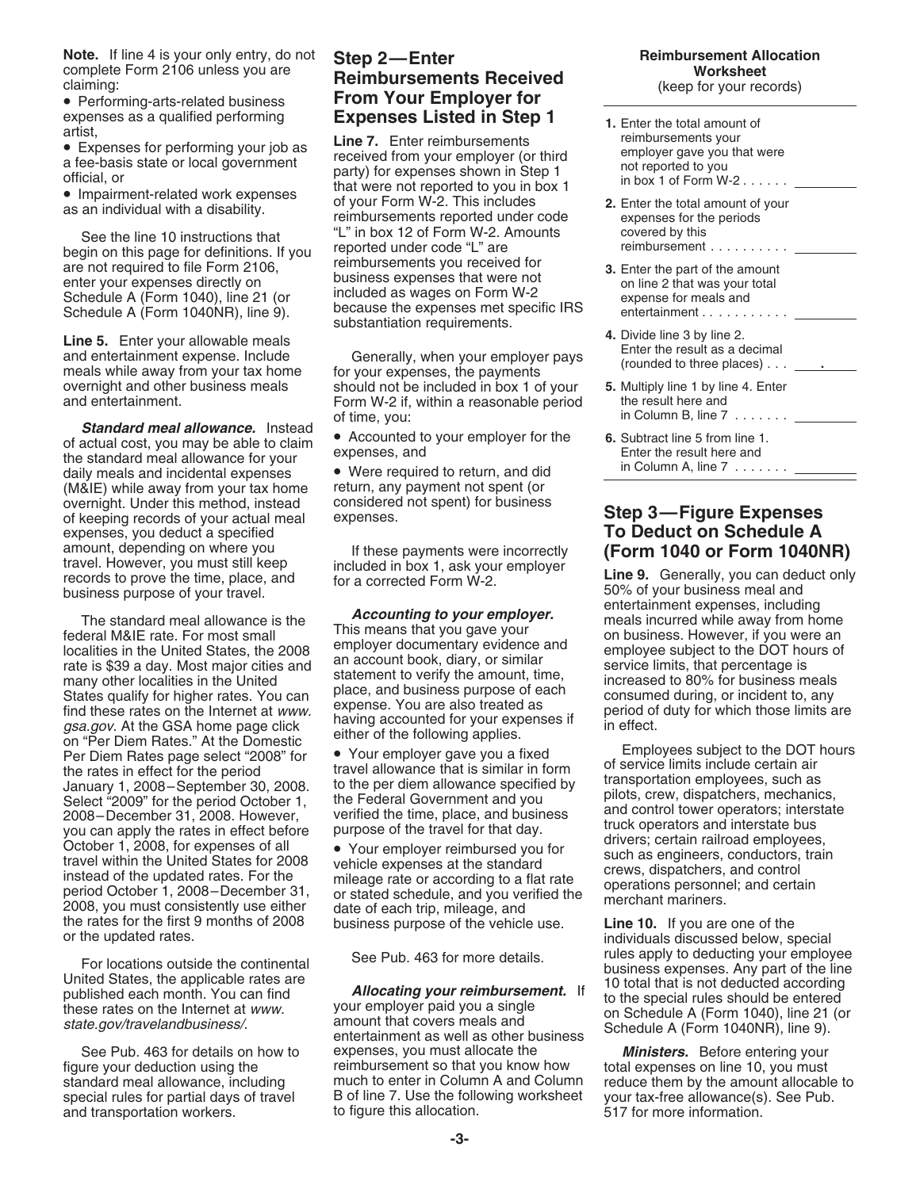**Note.** If line 4 is your only entry, do not **Step 2—Enter Reimbursement Allocation**<br> **Reimbursement Allocation**<br> **Reimbursement Allocation**<br> **Reimbursement Allocation** complete Form 2106 unless you are **Worksheet Reimbursements Received** claiming: (keep for your records)

enter your expenses directly on business expenses that were not on line 2 that was your total<br>Schedule A (Form 1040), line 21 (or included as wages on Form W-2 expense for meals and<br>Schedule A (Form 1040NR), line 9). becau

substantiation requirements.<br> **Line 5.** Enter your allowable meals<br>
and entertainment expense. Include<br>
meals while away from your tax home for your expenses, the payments (rounded to three places).................

**Standard meal allowance.** Instead<br>of actual cost, you may be able to claim<br>the standard meal allowance for your<br>daily meals and incidental expenses <br>**COLUME ALTER COLUME ALTER COLUME ALTER COLUME ALTER COLUME ALTER COLUME** (M&IE) while away from your tax home return, any payment not spent (or overnight. Under this method, instead considered of keeping records of your actual meal expenses. of keeping records of your actual meal expenses. **Step 3—Figure Expenses** expenses, you deduct a specified<br>amount, depending on where you amount, depending on where you if these payments were incorrectly **(Form 1040 or Form 1040NR)**<br>travel. However, you must still keep included in box 1, ask your employer **Line 9.** Generally, you can deduct only<br>records to p

The standard meal allowance is the<br>
federal M&IE rate. For most small<br>
localities in the United States, the 2008<br>
interaction of the accumulation of the same since of the DOT hours of<br>
interaction of the SA, the accumulati January 1, 2008—September 30, 2008.<br>
Lanuary 1, 2008—September 30, 2008.<br>
Select "2009" for the period October 1, the Federal Government and you can apply the rates in effect and october 31, 2008. However, verified the tim

and transportation workers.

# • Performing-arts-related business **From Your Employer for**

expenses as a qualified performing<br>
artist,<br>
• Expenses for performing your job as<br>
a fee-basis state or local government<br>
official, or<br>
• Impairment-related work expenses<br>
as an individual with a disability.<br>
• Impairmen See the line 10 instructions that  $\begin{array}{ccc}\n\text{See the line 10 instructions that} & \text{``L'' in box 12 of Form W-2. Amounts} \\
\text{begin on this page for definitions. If you are not required to file Form 2106, either your expenses directly on\n\end{array}\n\begin{array}{ccc}\n\text{we have a 10 instructions. If you can be included in the image and the image.\n\end{array}\n\begin{array}{ccc}\n\text{we have a 10 instructions. If you can be included in the image.\n\end{array}\n\begin{array}{ccc}\n\text{we have a 10 instructions. If you can be included in the image.\n\end{array}\n\$ Schedule A (Form 1040NR), line 9). because the expenses met s<br>substantiation requirements.

overnight and other business meals should not be included in box 1 of your **5.** Multiply line 1 by line 4. Enter and entertainment. Form W-2 if, within a reasonable period of time, you: in Column B, line 7 . . . . . . . <u>. . . . . . . .</u>

See Pub. 463 for details on how to expenses, you must allocate the *Ministers.* Before entering your figure your deduction using the expenses on line 10, you must reimbursement so that you know how total expenses on line 10, you must retandard meal allowance, including much to enter in Column A and Column reduce them by t standard meal allowance, including much to enter in Column A and Column reduce them by the amount allocable to<br>special rules for partial days of travel B of line 7. Use the following worksheet your tax-free allowance(s). S B of line 7. Use the following worksheet your tax-free allowance(s).<br>to figure this allocation. B of 17 for more information.

- 
- 
- 
- 
- 
- 

records to prove the time, place, and for a corrected Form W-2. **1999.** Generally, you can deduce<br>business purpose of your travel.<br>**1999.** The Subsiness meal and entertainment expenses, including

For locations outside the continental<br>
United States, the applicable rates are<br>
published each month. You can find<br>
these rates on the Internet at *www.*<br> *Allocating your reimbursement.* If<br>
the special rules should be en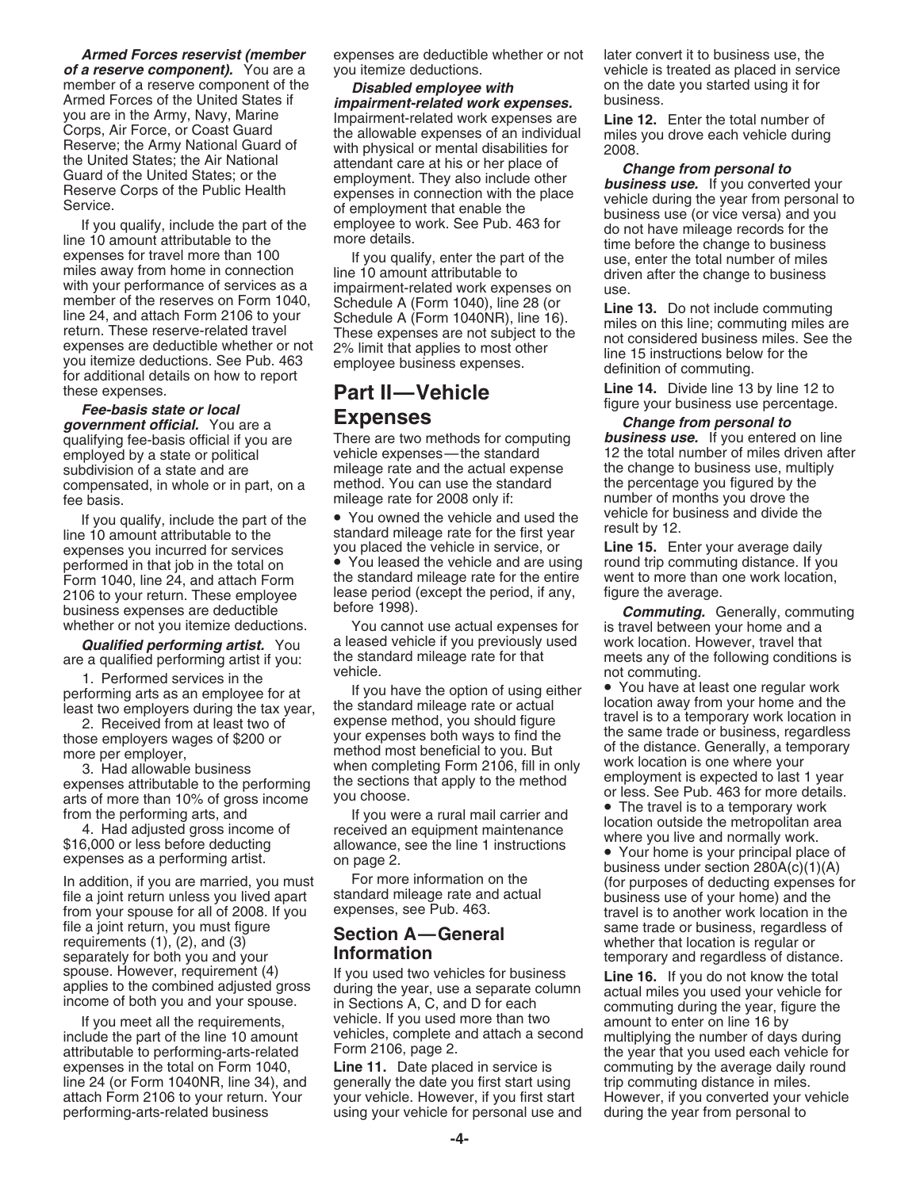member of the reserves on Form 1040,<br>
line 24, and attach Form 2106 to your<br>
return. These reserve-related travel<br>
expenses are deductible whether or not<br>
you itemize deductions. See Pub. 463<br>
for additional details on how

*government official.* You are a **Expenses** *Change from personal to* subdivision of a state and are mileage rate and the actual expense the change to business use, multiply compensated, in whole or in part, on a method. You can use the standard the percentage you figured by the compensated, in whole or in part, on a method. You can use the sta<br>fee basis. mileage rate for 2008 only if:

line 10 amount attributable to the standard mileage rate for the first year line 15. Enter your average daily<br>expenses you incurred for services you placed the vehicle in service, or **Line 15.** Enter your average daily expenses you incurred for services you placed the vehicle in service, or **Line 15.** Enter your average daily<br>performed in that job in the total on **•** You leased the vehicle and are using round trip commuting distance. If 2106 to your return. These employee lease period (except the period, if any, business expenses are deductible before 1998).

1. Performed services in the vehicle.<br>
performing arts as an employee for at If you have the option of using either • You have at least one regular work<br>
least two employers during the tax year, the standard mileage rate o

file a joint return, you must figure **Section A—General** same trade or business, regardless of requirements (1), (2), and (3) **Section A—General** requirements (1), (2), and (3) separately for both you and your **Information** separately for both you and your **Information**<br>spouse. However, requirement (4) If you used two vehicles for business **ine 16** If you do not know the total

*Armed Forces reservist (member* expenses are deductible whether or not later convert it to business use, the *of a reserve component).* You are a you itemize deductions. The vehicle is treated as placed in service

member of a reserve component of the **Disabled employee with**<br>
Armed Forces of the United States if **impairment-related work expenses.** Wou are in the Army Navy, Marine<br>
Syou are in the Army Navy, Marine<br>
Corps, Air Force,

There are two methods for computing<br>vehicle expenses — the standard

If you qualify, include the part of the • You owned the vehicle and used the vehicle for business 10 amount attributable to the standard mileage rate for the first year result by 12.

performed in that job in the total on • You leased the vehicle and are using round trip commuting distance. If you<br>Form 1040, line 24, and attach Form the standard mileage rate for the entire went to more than one work loc Form 1040, line 24, and attach Form the standard mileage rate for the entire went to more than  $\frac{1}{2106}$  to your return. These employee lease period (except the period, if any, figure the average.

whether or not you itemize deductions. You cannot use actual expenses for is travel between your home and a<br>Qualified performing artist. You a leased vehicle if you previously used work location. However, travel that are a qualified performing artist if you: the standard mileage rate for that meets any of the following condit<br>The formuling vehicle.

Least two employers during the tax year,<br>
2. Received from at least two of<br>
those employers wages of \$200 or your expenses both ways to find the<br>
the same trade or business, regardless<br>
the same trade or business, regardle

spouse. However, requirement (4) If you used two vehicles for business **Line 16.** If you do not know the total applies to the combined adjusted gross during the year, use a separate column actual miles you used your vehicl ome or both you and your spouse. In Sections A, C, and D for each and commuting during the year, figure the vehicle. If you used more than two amount to enter on line 16 by vehicle. If you used more than two amount to ente include the part of the line 10 amount vehicles, complete and attach a second multiplying the number of days during attributable to performing-arts-related Form 2106, page 2.

expenses in the total on Form 1040, **Line 11.** Date placed in service is commuting by the average daily round line 24 (or Form 1040NR, line 34), and generally the date you first start using trip commuting distance in miles.<br>attach Form 2106 to your return. Your your vehicle. However, if you first start However, if you converted yo your vehicle. However, if you first start However, if you converted your vehicle performing-arts-related business using your vehicle for personal use and during the year from personal to

these expenses.<br>**Part II—Vehicle Line 14.** Divide line 13 by line 12 to<br>**Expanses Line 14.** Divide line 13 by line 12 to<br>**Expanses** Fact **Figure your business use percentage.**<br>**Figure your business use percentage.**<br>*Change from personal to* 

employed by a state or political vehicle expenses—the standard 12 the total number of miles driven after expense<br>subdivision of a state and are mileage rate and the actual expense the change to business use, multiply fee basis.<br>If you gualify include the next of the section of Nou owned the vehicle and used the vehicle for business and divide the

business expenses are deductible before 1998). *Commuting.* Generally, commuting **Qualified performing artist**. You a leased vehicle if you previously used work location. However, travel that a meets any of the following conditions is

Experience the energy of the property. The more per employer, the performing the section of the distance. Generally, a temporary when completing Form 2106, fill in only work location is one where your expenses attributable

business under section 280A(c)(1)(A)<br>In addition, if you are married, you must<br>for more information on the (for purposes of deducting expenses for<br>file a joint return unless you lived apart<br>from your spouse for all of 2008

attributable to performing-arts-related roll  $\mathsf{P}^{\mathsf{O}(\mathsf{H})}$  z  $\mathsf{I}^{\mathsf{O}(\mathsf{H})}$  be  $\mathsf{I}^{\mathsf{O}(\mathsf{H})}$  and  $\mathsf{I}^{\mathsf{O}(\mathsf{H})}$  be year that you used each vehicle for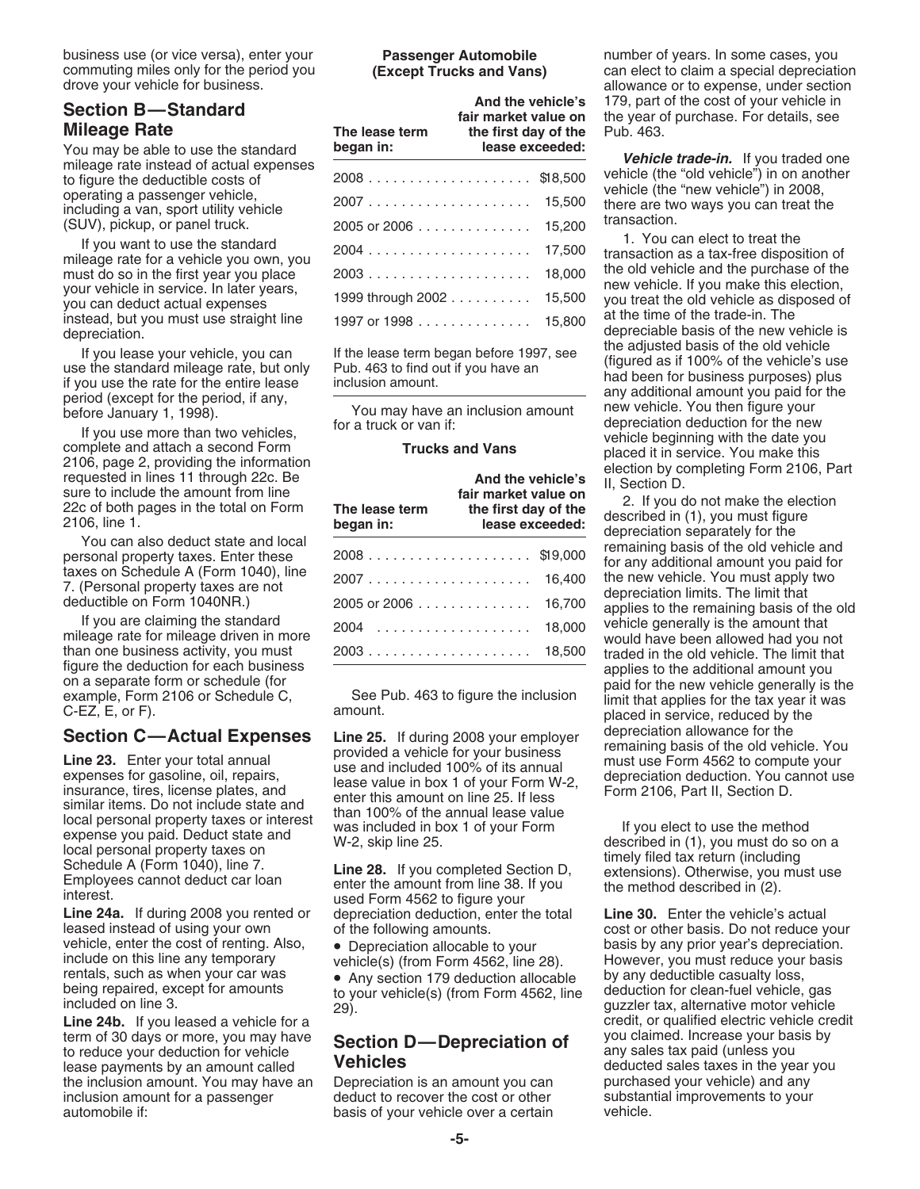business use (or vice versa), enter your **Passenger Automobile** number of years. In some cases, you commuting miles only for the period you **(Except Trucks and Vans)** can elect to claim a special depreciation drove your vehicle for business. Allows are section and the section of the section of the section of the section

## **Mileage Rate**

instead, but you must use straight line at the time of the trade-in. The 1997 or 1998 .............. 15,800

**Section C—Actual Expenses** Line 25. If during 2008 your employer<br>
Line 23. Enter your total annual<br>
expenses for gasoline, oil, repairs, use and included 100% of its annual<br>
insurance, tires, license plates, and<br>
lease va

**Line 24a.** If during 2008 you rented or depreciation deduction, enter the total **Line 30.** Enter the vehicle's actual leased instead of using your own of the following amounts.<br>
vehicle, enter the cost of renting. Also, <br>
pappreciation allocable to your basis by any prior year's depreciation. vehicle, enter the cost of renting. Also,  $\bullet$  Depreciation allocable to your basis by any prior year's depreciation.<br>
include on this line any temporary vehicle(s) (from Form 4562. line 28). However, you must reduce your rentals, such as when your car was vertile as a section 179 deduction allocable by any deductible casualty loss,<br>being repaired, except for amounts to your vehicle(s) (from Form 4562, line deduction for clean-fuel vehicle,

term of 30 days or more, you may have **Section D—Depreciation of** you claimed. Increase your basis by to reduce your deduction for vehicle any sales tax paid (unless you lease payments by an amount called **Vehicles** deduct lease payments by an amount called the inclusion amount. You may have an Depreciation is an amount you can purchased your vehicle) and any<br>inclusion amount for a passenger deduct to recover the cost or other substantial improvements to your inclusion amount for a passenger deduct to recover the cost or other substantial inclusion automobile if:<br>basis of your vehicle over a certain vehicle. automobile if:  $\qquad \qquad$  basis of your vehicle over a certain

| <b>Section B-Standard</b><br><b>Mileage Rate</b><br>You may be able to use the standard | The lease term<br>began in: | And the vehicle's<br>fair market value on<br>the first day of the | lease exceeded: | 179, part of the cost of your vehicle in<br>the year of purchase. For details, see<br>Pub. 463.                          |
|-----------------------------------------------------------------------------------------|-----------------------------|-------------------------------------------------------------------|-----------------|--------------------------------------------------------------------------------------------------------------------------|
| mileage rate instead of actual expenses<br>to figure the deductible costs of            |                             |                                                                   |                 | Vehicle trade-in. If you traded one<br>vehicle (the "old vehicle") in on another<br>vehicle (the "new vehicle") in 2008, |
| operating a passenger vehicle.<br>including a van, sport utility vehicle                | $2007$ 15,500               |                                                                   |                 | there are two ways you can treat the                                                                                     |
| (SUV), pickup, or panel truck.                                                          | $2005$ or $2006$            |                                                                   | 15.200          | transaction.                                                                                                             |
| If you want to use the standard<br>mileage rate for a vehicle you own, you              | 2004                        |                                                                   | 17,500          | 1. You can elect to treat the<br>transaction as a tax-free disposition of                                                |
| must do so in the first year you place                                                  |                             |                                                                   | 18,000          | the old vehicle and the purchase of the<br>new vehicle. If you make this election,                                       |
| your vehicle in service. In later years,<br>you can deduct actual expenses              | 1999 through 2002 15,500    |                                                                   |                 | you treat the old vehicle as disposed of                                                                                 |
| instead, but you must use straight line<br>denreciation                                 |                             |                                                                   |                 | at the time of the trade-in. The<br>depreciable basis of the new vehicle is                                              |

| If you lease your vehicle, you can<br>use the standard mileage rate, but only<br>if you use the rate for the entire lease                                                           | If the lease term began before 1997, see<br>Pub. 463 to find out if you have an<br>inclusion amount. |                                                                                      | the adjusted basis of the old vehicle<br>(figured as if 100% of the vehicle's use<br>had been for business purposes) plus<br>any additional amount you paid for the<br>new vehicle. You then figure your<br>depreciation deduction for the new<br>vehicle beginning with the date you<br>placed it in service. You make this |
|-------------------------------------------------------------------------------------------------------------------------------------------------------------------------------------|------------------------------------------------------------------------------------------------------|--------------------------------------------------------------------------------------|------------------------------------------------------------------------------------------------------------------------------------------------------------------------------------------------------------------------------------------------------------------------------------------------------------------------------|
| period (except for the period, if any,<br>before January 1, 1998).<br>If you use more than two vehicles,                                                                            | You may have an inclusion amount<br>for a truck or van if:                                           |                                                                                      |                                                                                                                                                                                                                                                                                                                              |
| complete and attach a second Form                                                                                                                                                   | <b>Trucks and Vans</b>                                                                               |                                                                                      |                                                                                                                                                                                                                                                                                                                              |
| 2106, page 2, providing the information<br>requested in lines 11 through 22c. Be<br>sure to include the amount from line<br>22c of both pages in the total on Form<br>2106. line 1. | The lease term<br>began in:                                                                          | And the vehicle's<br>fair market value on<br>the first day of the<br>lease exceeded: | election by completing Form 2106, Part<br>II, Section D.<br>2. If you do not make the election<br>described in (1), you must figure<br>depreciation separately for the                                                                                                                                                       |
| You can also deduct state and local<br>personal property taxes. Enter these<br>taxes on Schedule A (Form 1040), line                                                                |                                                                                                      | 16,400                                                                               | remaining basis of the old vehicle and<br>for any additional amount you paid for<br>the new vehicle. You must apply two                                                                                                                                                                                                      |
| 7. (Personal property taxes are not<br>deductible on Form 1040NR.)                                                                                                                  | $2005$ or $2006$                                                                                     | 16,700                                                                               | depreciation limits. The limit that<br>applies to the remaining basis of the old                                                                                                                                                                                                                                             |
| If you are claiming the standard<br>mileage rate for mileage driven in more<br>than one business activity, you must                                                                 |                                                                                                      | 18,000<br>18,500                                                                     | vehicle generally is the amount that<br>would have been allowed had you not<br>traded in the old vehicle. The limit that                                                                                                                                                                                                     |
|                                                                                                                                                                                     |                                                                                                      |                                                                                      |                                                                                                                                                                                                                                                                                                                              |

depreciable basis of the new vehicle is<br>the adjusted basis of the old vehicle

Figure the deduction for each business<br>on a separate form or schedule (for<br>example, Form 2106 or Schedule C,<br>C-EZ, E, or F). amount. annount. amount and the inclusion of the new vehicle generally is the<br>C-EZ, E, or F).

vehicle(s) (from Form 4562, line 28). However, you must reduce your basis<br>• Any section 179 deduction allocable by any deductible casualty loss, being repaired, except for amounts deduction for clean-fuel vehicle, gas included on line 3.<br>included on line 3. 29). <br>Line 24b. If you leased a vehicle for a stater and a credit, or qualified electric vehicle cre credit, or qualified electric vehicle credit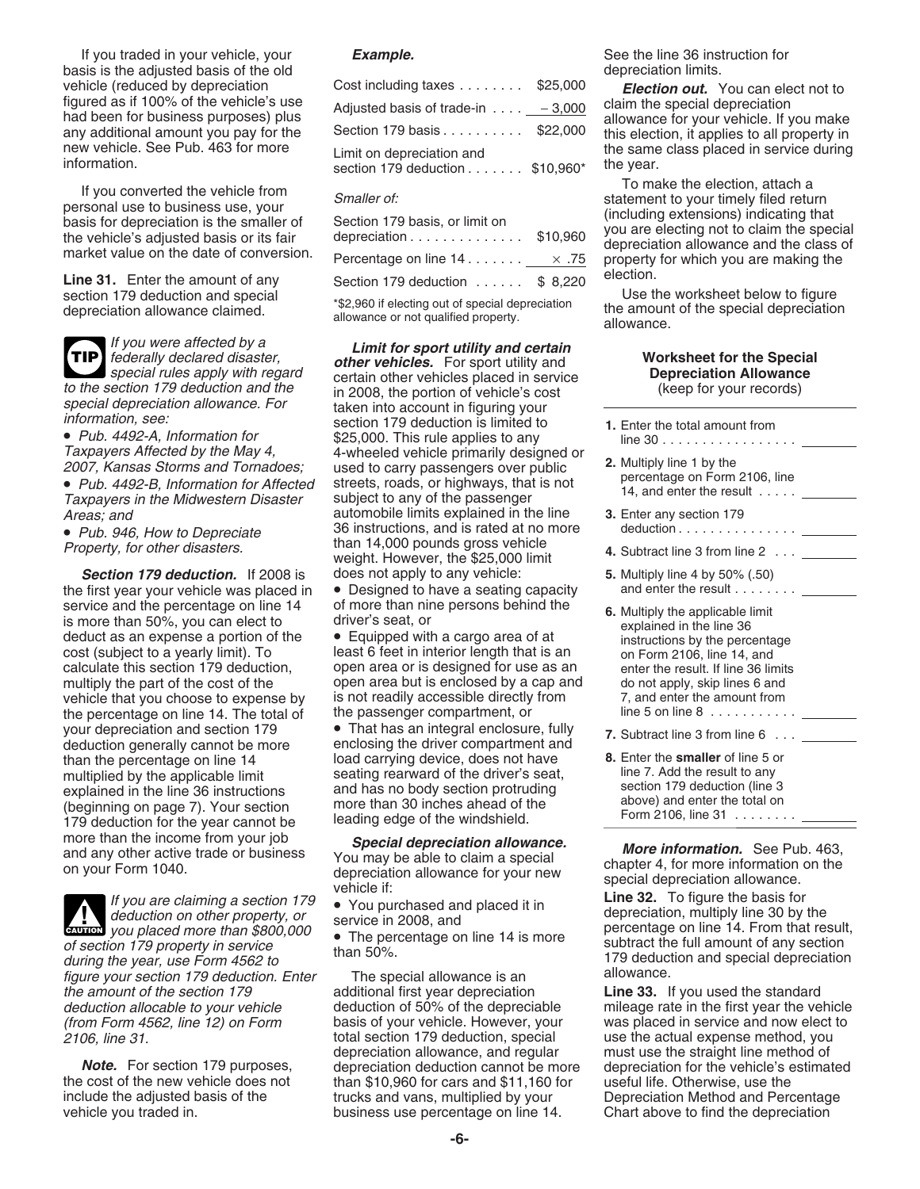If you traded in your vehicle, your **Example.** See the line 36 instruction for basis is the adjusted basis of the old depreciation limits.

**TIP**

**Section 179 deduction.** If 2008 is does not apply to any vehicle: **5.** Multiply line 4 by 50% (.50)<br>• first vear vour vehicle was placed in • Designed to have a seating capacity and enter the result . . . . . . . . the first year your vehicle was placed in service and the percentage on line 14 of more than nine persons behind the 6. Multiply the applicable limit<br>is more than 50%, you can elect to driver's seat, or explained in the line 36<br>deduct as an expense a portion of th vehicle that you choose to expense by is not readily accessible directly from 7, and enter the amount from the percentage on line 14. The total of the passenger compartment, or the particle in the 5 on line 8  $\ldots \ldots \ldots$ the percentage on line 14. The total of your depreciation and section 179 • That has an integral enclosure, fully **7.** Subtract line 3 from line 6 . . . \_ deduction generally cannot be more enclosing the driver compartment and than the percentage on line 14 load carrying device, does not have **8.** Enter the **smaller** of line 5 or than the percentage on line 14 seating rearward of the driver's seat line 7. Add the result to any multiplied by the applicable limit seating rearward of the driver's seat, line 7. Add the result to any<br>explained in the line 36 instructions and has no body section protruding section 179 deduction (line 3 explained in the line 36 instructions and has no body section protruding<br>
(beginning on page 7). Your section more than 30 inches ahead of the above) and enter the total on<br>
179 deduction for the year cannot be leading edg



during the year, use Form 4562 to<br>figure your section 179 deduction. Enter The special allowance is an allowance.<br>the amount of the section 179 additional first year depreciation **Line 33.** 

| vehicle (reduced by depreciation                                                | Cost including taxes $\ldots \ldots$ \$25,000                | <b>Election out.</b> You can elect not to                                 |
|---------------------------------------------------------------------------------|--------------------------------------------------------------|---------------------------------------------------------------------------|
| figured as if 100% of the vehicle's use<br>had been for business purposes) plus | Adjusted basis of trade-in $\ldots$ - 3,000                  | claim the special depreciation<br>allowance for your vehicle. If you make |
| any additional amount you pay for the                                           | Section 179 basis \$22,000                                   | this election, it applies to all property in                              |
| new vehicle. See Pub. 463 for more<br>information.                              | Limit on depreciation and<br>section 179 deduction \$10,960* | the same class placed in service during<br>the year.                      |

| basis for depreciation is the smaller of<br>the vehicle's adjusted basis or its fair | Section 179 basis, or limit on<br>depreciation $\ldots$ , $\ldots$ , $\ldots$ , $\ldots$ | \$10,960 | (including extensions) indicating that<br>you are electing not to claim the spec<br>depreciation allowance and the class |
|--------------------------------------------------------------------------------------|------------------------------------------------------------------------------------------|----------|--------------------------------------------------------------------------------------------------------------------------|
| market value on the date of conversion.                                              | Percentage on line $14$ $25$                                                             |          | property for which you are making the                                                                                    |
| <b>Line 31.</b> Enter the amount of any                                              | Section 179 deduction \$ 8,220                                                           |          | election.                                                                                                                |
| section 179 deduction and special                                                    | $*$ ch $0.00$ if algering out of aparial depression                                      |          | Use the worksheet below to figure                                                                                        |

If you were affected by a<br>
federally declared disaster,<br>
to the section 179 deduction and the<br>
to the section 179 deduction and the<br>
in 2008 the nortion of vehicle's cost (keep for your records) For the section 179 deduction and the in 2008, the portion of vehicle's cost<br>special depreciation allowance. For the section 179 deduction and the in 2008, the portion of vehicle's cost<br>information, see:<br>Pub. 4492-A, Infor Taxpayers Affected by the May 4, and the vehicle primarily designed or<br>
2007, Kansas Storms and Tornadoes; used to carry passengers over public **2.** Multiply line 1 by the<br>
■ Pub. 4492-B, Information for Affected streets, Areas; and automobile limits explained in the line **3.** Enter any section 179<br>● Pub 946 How to Denreciate 36 instructions, and is rated at no more deduction . . . . . . . . . . . . . . . . 36 instructions, and is rated at no more deduction . . . . . . . . . . . .... • Pub. 946, How to Depreciate than 14,000 pounds gross vehicle Property, for other disasters. **4.** Subtract line 3 from line 2 . . . weight. However, the \$25,000 limit

deduct as an expense a portion of the  $\bullet$  Equipped with a cargo area of at expressive instructions by the percentage<br>cost (subject to a yearly limit). To least 6 feet in interior length that is an expression Form 2106, li calculate this section 179 deduction, open area or is designed for use as an enter the result. If line 36 limits multiply the part of the cost of the open area but is enclosed by a cap and do not apply, skip lines 6 and vehicle that you choose to expense by is not readily accessible directly from  $\overline{z}$ , and enter the amount from

enclosing the driver compartment and

the amount of the section 179 additional first year depreciation **Line 33.** If you used the standard deduction allocable to your vehicle deduction of 50% of the depreciable mileage rate in the first year the ve (from Form 4562, line 12) on Form basis of your vehicle. However, you<br>2106, line 31. early read in section 179 deduction, special 2106, line 31. total section 179 deduction, special use the actual expense method, you depreciation allowance, and regular must use the straight line method of the cost of the new vehicle does not than \$10,960 for cars and \$11,160 for useful life. Otherwise, use the<br>include the adjusted basis of the trucks and vans, multiplied by your Depreciation Method and Pero vehicle you traded in. business use percentage on line 14. Chart above to find the depreciation

If you converted the vehicle from<br>personal use to business use, your<br>basis for depreciation is the smaller of<br>the vehicle's adjusted basis or its fair<br>market value on the date of conversion.<br>Percentage on line 14..........

Section 179 deduction and special the section of special depreciation<br>depreciation allowance claimed. The amount of the special depreciation<br>allowance. allowance or not qualified property. Allowance.

- 
- 
- 
- 

more than the income from your job<br>and any other active trade or business<br>on your Form 1040.<br>The percention allowance for your new<br>depreciation allowance for your new<br>depreciation allowance for your new<br>special depreciatio

deduction of 50% of the depreciable and mileage rate in the first year the vehicle basis of your vehicle. However, your was placed in service and now elect to **Note.** For section 179 purposes, depreciation deduction cannot be more depreciation for the vehicle's estimated the cost of the new vehicle does not than \$10,960 for cars and \$11,160 for useful life. Otherwise, use the Depreciation Method and Percentage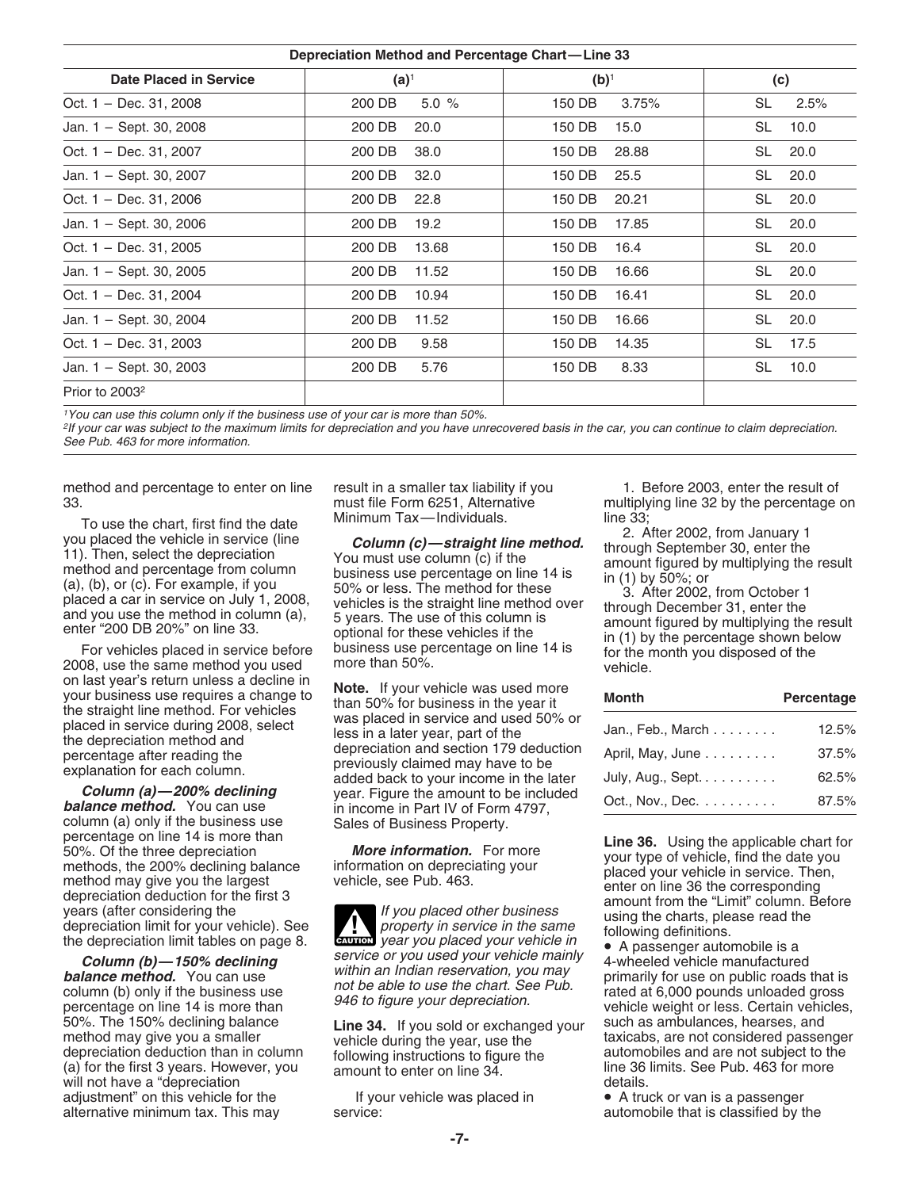| Depreciation Method and Percentage Chart-Line 33 |                |       |         |       |           |      |
|--------------------------------------------------|----------------|-------|---------|-------|-----------|------|
| <b>Date Placed in Service</b>                    | $(a)^1$        |       | $(b)^1$ |       | (c)       |      |
| Oct. 1 - Dec. 31, 2008                           | 200 DB         | 5.0%  | 150 DB  | 3.75% | SL        | 2.5% |
| Jan. 1 - Sept. 30, 2008                          | 200 DB<br>20.0 |       | 150 DB  | 15.0  | SL        | 10.0 |
| Oct. 1 - Dec. 31, 2007                           | 200 DB<br>38.0 |       | 150 DB  | 28.88 | <b>SL</b> | 20.0 |
| Jan. 1 - Sept. 30, 2007                          | 200 DB<br>32.0 |       | 150 DB  | 25.5  | <b>SL</b> | 20.0 |
| Oct. $1 - Dec. 31, 2006$                         | 200 DB<br>22.8 |       | 150 DB  | 20.21 | SL        | 20.0 |
| Jan. 1 - Sept. 30, 2006                          | 200 DB<br>19.2 |       | 150 DB  | 17.85 | <b>SL</b> | 20.0 |
| Oct. 1 - Dec. 31, 2005                           | 200 DB         | 13.68 | 150 DB  | 16.4  | SL        | 20.0 |
| Jan. 1 - Sept. 30, 2005                          | 200 DB         | 11.52 | 150 DB  | 16.66 | <b>SL</b> | 20.0 |
| Oct. 1 - Dec. 31, 2004                           | 200 DB         | 10.94 | 150 DB  | 16.41 | SL        | 20.0 |
| Jan. 1 - Sept. 30, 2004                          | 200 DB         | 11.52 | 150 DB  | 16.66 | <b>SL</b> | 20.0 |
| Oct. 1 - Dec. 31, 2003                           | 200 DB         | 9.58  | 150 DB  | 14.35 | SL        | 17.5 |
| Jan. 1 - Sept. 30, 2003                          | 200 DB         | 5.76  | 150 DB  | 8.33  | SL        | 10.0 |
| Prior to 2003 <sup>2</sup>                       |                |       |         |       |           |      |

<sup>1</sup>You can use this column only if the business use of your car is more than 50%.

2If your car was subject to the maximum limits for depreciation and you have unrecovered basis in the car, you can continue to claim depreciation. See Pub. 463 for more information.

method and percentage to enter on line result in a smaller tax liability if you a multiplying line 32 by the percentage of must file Form 6251, Alternative multiplying line 32 by the percentage

on last year's return unless a decline in<br>
your business use requires a change to<br>
the straight line method. For vehicles than 50% for business in the year it<br>
placed in service during 2008, select less in a later year, pa

column (a) only if the business use<br>
Sales of Business Property.<br>
Sales of Business Property.<br>
Sales of Business Property.<br>
Sales of Business Property.<br>
The 36. Using the applicable chart for<br>
So%. Of the three depreciatio

(a) for the first 3 years. However, you a amount to enter on line 34. The 36 limits. See Pub. 463 for not will not have a "depreciation<br>
will not have a "depreciation details.<br>
adjustment" on this vehicle for the same of t adjustment" on this vehicle for the If your vehicle was placed in the Video alternative minimum tax. This may

To use the chart, first find the date<br>
you placed the vehicle in service (line<br>
11). Then, select the depreciation<br>
method and percentage from column<br>
method and percentage from column<br>
wouse the method in column<br>
placed

**Column (a)—200% declining** year. Figure the amount to be included **balance method.** You can use in income in Part IV of Form 4797, column (a) only if the business use Sales of Business Property.

depreciation limit for your vehicle). See<br>the depreciation limit for your vehicle). See<br>**Column (b)—150% declining**<br>**Column (b)—150% declining**<br>**Column (b)—150% declining**<br>**Column (b)—150% declining**<br>**Column (b)—150% decli** 

33. must file Form 6251, Alternative multiplying line 32 by the percentage on<br>To use the chart, first find the data Minimum Tax—Individuals. The 33;

| your business use requires a change to<br>the straight line method. For vehicles | <b>NOLE.</b> If your verlicle was used filole<br>than 50% for business in the year it | Month                             | Percentage |
|----------------------------------------------------------------------------------|---------------------------------------------------------------------------------------|-----------------------------------|------------|
| placed in service during 2008, select<br>the depreciation method and             | was placed in service and used 50% or<br>less in a later year, part of the            | Jan., Feb., March $\ldots \ldots$ | 12.5%      |
| percentage after reading the                                                     | depreciation and section 179 deduction<br>previously claimed may have to be           | April, May, June                  | 37.5%      |
| explanation for each column.                                                     | added back to your income in the later                                                | July, Aug., Sept                  | 62.5%      |
| Column (a) $-200\%$ declining<br><b>balance method.</b> You can use              | year. Figure the amount to be included<br>in income in Part IV of Form 4797.          | Oct., Nov., Dec. $\ldots$         | 87.5%      |

50%. The 150% declining balance<br>
method may give you a smaller vehicle during the year, use the taxicabs, are not considered passenger<br>
depreciation deduction than in column following instructions to figure the<br>
(a) for th

automobile that is classified by the